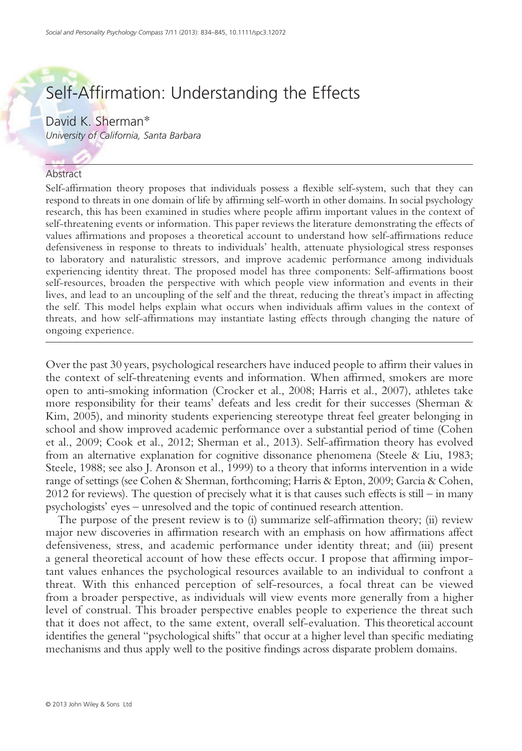# Self-Affirmation: Understanding the Effects

David K. Sherman\* University of California, Santa Barbara

#### Abstract

Self-affirmation theory proposes that individuals possess a flexible self-system, such that they can respond to threats in one domain of life by affirming self-worth in other domains. In social psychology research, this has been examined in studies where people affirm important values in the context of self-threatening events or information. This paper reviews the literature demonstrating the effects of values affirmations and proposes a theoretical account to understand how self-affirmations reduce defensiveness in response to threats to individuals' health, attenuate physiological stress responses to laboratory and naturalistic stressors, and improve academic performance among individuals experiencing identity threat. The proposed model has three components: Self-affirmations boost self-resources, broaden the perspective with which people view information and events in their lives, and lead to an uncoupling of the self and the threat, reducing the threat's impact in affecting the self. This model helps explain what occurs when individuals affirm values in the context of threats, and how self-affirmations may instantiate lasting effects through changing the nature of ongoing experience.

Over the past 30 years, psychological researchers have induced people to affirm their values in the context of self-threatening events and information. When affirmed, smokers are more open to anti-smoking information (Crocker et al., 2008; Harris et al., 2007), athletes take more responsibility for their teams' defeats and less credit for their successes (Sherman & Kim, 2005), and minority students experiencing stereotype threat feel greater belonging in school and show improved academic performance over a substantial period of time (Cohen et al., 2009; Cook et al., 2012; Sherman et al., 2013). Self-affirmation theory has evolved from an alternative explanation for cognitive dissonance phenomena (Steele & Liu, 1983; Steele, 1988; see also J. Aronson et al., 1999) to a theory that informs intervention in a wide range of settings (see Cohen & Sherman, forthcoming; Harris & Epton, 2009; Garcia & Cohen, 2012 for reviews). The question of precisely what it is that causes such effects is still – in many psychologists' eyes – unresolved and the topic of continued research attention.

The purpose of the present review is to (i) summarize self-affirmation theory; (ii) review major new discoveries in affirmation research with an emphasis on how affirmations affect defensiveness, stress, and academic performance under identity threat; and (iii) present a general theoretical account of how these effects occur. I propose that affirming important values enhances the psychological resources available to an individual to confront a threat. With this enhanced perception of self-resources, a focal threat can be viewed from a broader perspective, as individuals will view events more generally from a higher level of construal. This broader perspective enables people to experience the threat such that it does not affect, to the same extent, overall self-evaluation. This theoretical account identifies the general "psychological shifts" that occur at a higher level than specific mediating mechanisms and thus apply well to the positive findings across disparate problem domains.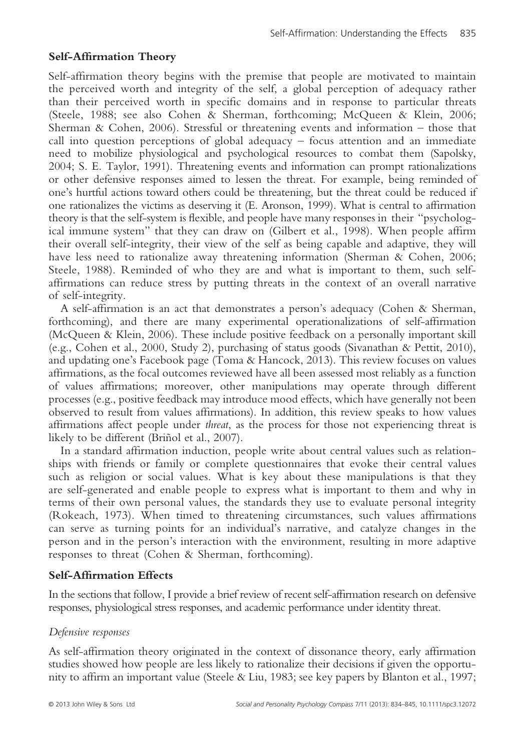# Self-Affirmation Theory

Self-affirmation theory begins with the premise that people are motivated to maintain the perceived worth and integrity of the self, a global perception of adequacy rather than their perceived worth in specific domains and in response to particular threats (Steele, 1988; see also Cohen & Sherman, forthcoming; McQueen & Klein, 2006; Sherman & Cohen, 2006). Stressful or threatening events and information – those that call into question perceptions of global adequacy – focus attention and an immediate need to mobilize physiological and psychological resources to combat them (Sapolsky, 2004; S. E. Taylor, 1991). Threatening events and information can prompt rationalizations or other defensive responses aimed to lessen the threat. For example, being reminded of one's hurtful actions toward others could be threatening, but the threat could be reduced if one rationalizes the victims as deserving it (E. Aronson, 1999). What is central to affirmation theory is that the self-system is flexible, and people have many responses in their "psychological immune system" that they can draw on (Gilbert et al., 1998). When people affirm their overall self-integrity, their view of the self as being capable and adaptive, they will have less need to rationalize away threatening information (Sherman & Cohen, 2006; Steele, 1988). Reminded of who they are and what is important to them, such selfaffirmations can reduce stress by putting threats in the context of an overall narrative of self-integrity.

A self-affirmation is an act that demonstrates a person's adequacy (Cohen & Sherman, forthcoming), and there are many experimental operationalizations of self-affirmation (McQueen & Klein, 2006). These include positive feedback on a personally important skill (e.g., Cohen et al., 2000, Study 2), purchasing of status goods (Sivanathan & Pettit, 2010), and updating one's Facebook page (Toma & Hancock, 2013). This review focuses on values affirmations, as the focal outcomes reviewed have all been assessed most reliably as a function of values affirmations; moreover, other manipulations may operate through different processes (e.g., positive feedback may introduce mood effects, which have generally not been observed to result from values affirmations). In addition, this review speaks to how values affirmations affect people under threat, as the process for those not experiencing threat is likely to be different (Briñol et al., 2007).

In a standard affirmation induction, people write about central values such as relationships with friends or family or complete questionnaires that evoke their central values such as religion or social values. What is key about these manipulations is that they are self-generated and enable people to express what is important to them and why in terms of their own personal values, the standards they use to evaluate personal integrity (Rokeach, 1973). When timed to threatening circumstances, such values affirmations can serve as turning points for an individual's narrative, and catalyze changes in the person and in the person's interaction with the environment, resulting in more adaptive responses to threat (Cohen & Sherman, forthcoming).

## Self-Affirmation Effects

In the sections that follow, I provide a brief review of recent self-affirmation research on defensive responses, physiological stress responses, and academic performance under identity threat.

## Defensive responses

As self-affirmation theory originated in the context of dissonance theory, early affirmation studies showed how people are less likely to rationalize their decisions if given the opportunity to affirm an important value (Steele & Liu, 1983; see key papers by Blanton et al., 1997;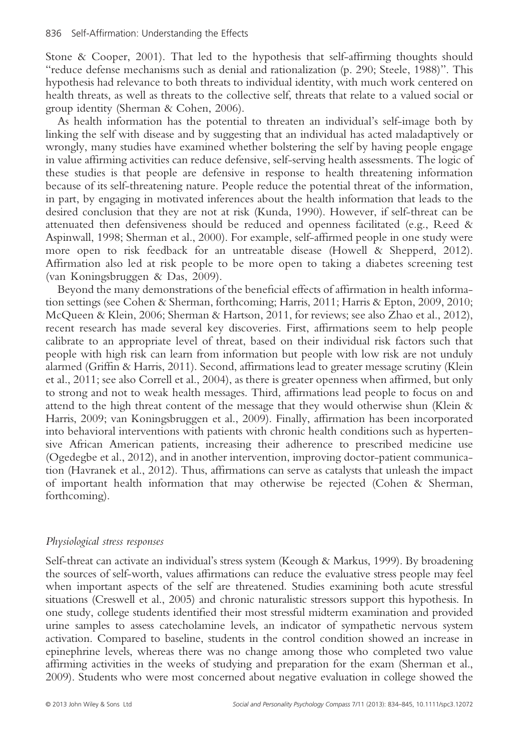Stone & Cooper, 2001). That led to the hypothesis that self-affirming thoughts should "reduce defense mechanisms such as denial and rationalization (p. 290; Steele, 1988)". This hypothesis had relevance to both threats to individual identity, with much work centered on health threats, as well as threats to the collective self, threats that relate to a valued social or group identity (Sherman & Cohen, 2006).

As health information has the potential to threaten an individual's self-image both by linking the self with disease and by suggesting that an individual has acted maladaptively or wrongly, many studies have examined whether bolstering the self by having people engage in value affirming activities can reduce defensive, self-serving health assessments. The logic of these studies is that people are defensive in response to health threatening information because of its self-threatening nature. People reduce the potential threat of the information, in part, by engaging in motivated inferences about the health information that leads to the desired conclusion that they are not at risk (Kunda, 1990). However, if self-threat can be attenuated then defensiveness should be reduced and openness facilitated (e.g., Reed & Aspinwall, 1998; Sherman et al., 2000). For example, self-affirmed people in one study were more open to risk feedback for an untreatable disease (Howell & Shepperd, 2012). Affirmation also led at risk people to be more open to taking a diabetes screening test (van Koningsbruggen & Das, 2009).

Beyond the many demonstrations of the beneficial effects of affirmation in health information settings (see Cohen & Sherman, forthcoming; Harris, 2011; Harris & Epton, 2009, 2010; McQueen & Klein, 2006; Sherman & Hartson, 2011, for reviews; see also Zhao et al., 2012), recent research has made several key discoveries. First, affirmations seem to help people calibrate to an appropriate level of threat, based on their individual risk factors such that people with high risk can learn from information but people with low risk are not unduly alarmed (Griffin & Harris, 2011). Second, affirmations lead to greater message scrutiny (Klein et al., 2011; see also Correll et al., 2004), as there is greater openness when affirmed, but only to strong and not to weak health messages. Third, affirmations lead people to focus on and attend to the high threat content of the message that they would otherwise shun (Klein & Harris, 2009; van Koningsbruggen et al., 2009). Finally, affirmation has been incorporated into behavioral interventions with patients with chronic health conditions such as hypertensive African American patients, increasing their adherence to prescribed medicine use (Ogedegbe et al., 2012), and in another intervention, improving doctor-patient communication (Havranek et al., 2012). Thus, affirmations can serve as catalysts that unleash the impact of important health information that may otherwise be rejected (Cohen & Sherman, forthcoming).

#### Physiological stress responses

Self-threat can activate an individual's stress system (Keough & Markus, 1999). By broadening the sources of self-worth, values affirmations can reduce the evaluative stress people may feel when important aspects of the self are threatened. Studies examining both acute stressful situations (Creswell et al., 2005) and chronic naturalistic stressors support this hypothesis. In one study, college students identified their most stressful midterm examination and provided urine samples to assess catecholamine levels, an indicator of sympathetic nervous system activation. Compared to baseline, students in the control condition showed an increase in epinephrine levels, whereas there was no change among those who completed two value affirming activities in the weeks of studying and preparation for the exam (Sherman et al., 2009). Students who were most concerned about negative evaluation in college showed the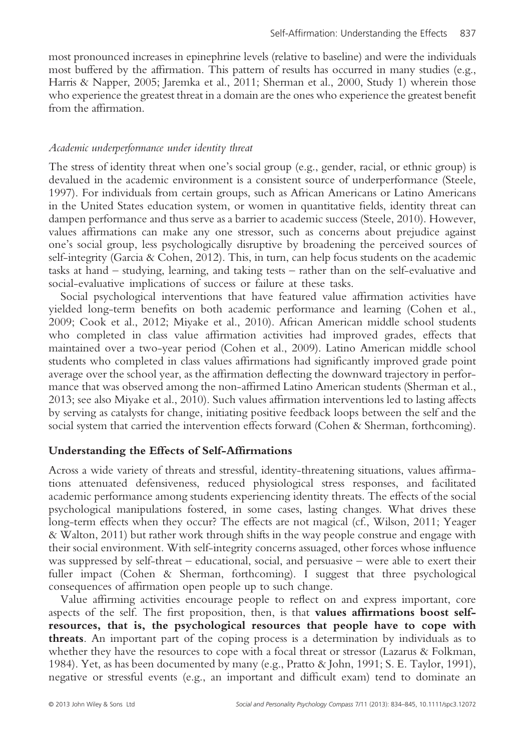most pronounced increases in epinephrine levels (relative to baseline) and were the individuals most buffered by the affirmation. This pattern of results has occurred in many studies (e.g., Harris & Napper, 2005; Jaremka et al., 2011; Sherman et al., 2000, Study 1) wherein those who experience the greatest threat in a domain are the ones who experience the greatest benefit from the affirmation.

## Academic underperformance under identity threat

The stress of identity threat when one's social group (e.g., gender, racial, or ethnic group) is devalued in the academic environment is a consistent source of underperformance (Steele, 1997). For individuals from certain groups, such as African Americans or Latino Americans in the United States education system, or women in quantitative fields, identity threat can dampen performance and thus serve as a barrier to academic success (Steele, 2010). However, values affirmations can make any one stressor, such as concerns about prejudice against one's social group, less psychologically disruptive by broadening the perceived sources of self-integrity (Garcia & Cohen, 2012). This, in turn, can help focus students on the academic tasks at hand – studying, learning, and taking tests – rather than on the self-evaluative and social-evaluative implications of success or failure at these tasks.

Social psychological interventions that have featured value affirmation activities have yielded long-term benefits on both academic performance and learning (Cohen et al., 2009; Cook et al., 2012; Miyake et al., 2010). African American middle school students who completed in class value affirmation activities had improved grades, effects that maintained over a two-year period (Cohen et al., 2009). Latino American middle school students who completed in class values affirmations had significantly improved grade point average over the school year, as the affirmation deflecting the downward trajectory in performance that was observed among the non-affirmed Latino American students (Sherman et al., 2013; see also Miyake et al., 2010). Such values affirmation interventions led to lasting affects by serving as catalysts for change, initiating positive feedback loops between the self and the social system that carried the intervention effects forward (Cohen & Sherman, forthcoming).

## Understanding the Effects of Self-Affirmations

Across a wide variety of threats and stressful, identity-threatening situations, values affirmations attenuated defensiveness, reduced physiological stress responses, and facilitated academic performance among students experiencing identity threats. The effects of the social psychological manipulations fostered, in some cases, lasting changes. What drives these long-term effects when they occur? The effects are not magical (cf., Wilson, 2011; Yeager & Walton, 2011) but rather work through shifts in the way people construe and engage with their social environment. With self-integrity concerns assuaged, other forces whose influence was suppressed by self-threat – educational, social, and persuasive – were able to exert their fuller impact (Cohen & Sherman, forthcoming). I suggest that three psychological consequences of affirmation open people up to such change.

Value affirming activities encourage people to reflect on and express important, core aspects of the self. The first proposition, then, is that values affirmations boost selfresources, that is, the psychological resources that people have to cope with threats. An important part of the coping process is a determination by individuals as to whether they have the resources to cope with a focal threat or stressor (Lazarus & Folkman, 1984). Yet, as has been documented by many (e.g., Pratto & John, 1991; S. E. Taylor, 1991), negative or stressful events (e.g., an important and difficult exam) tend to dominate an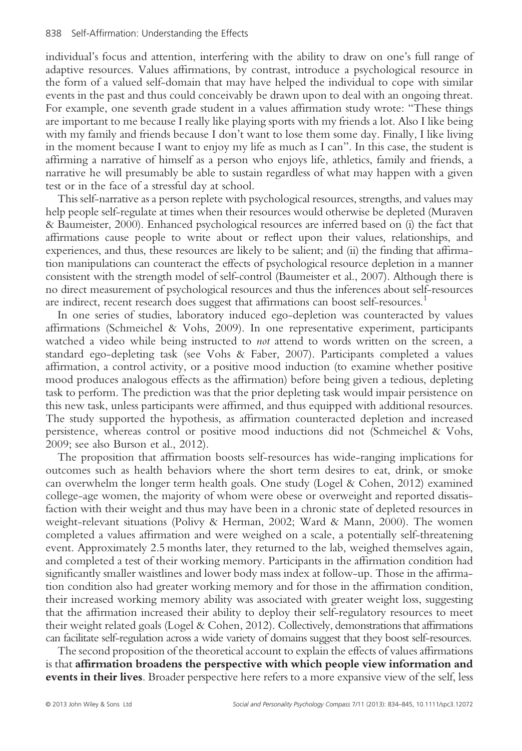individual's focus and attention, interfering with the ability to draw on one's full range of adaptive resources. Values affirmations, by contrast, introduce a psychological resource in the form of a valued self-domain that may have helped the individual to cope with similar events in the past and thus could conceivably be drawn upon to deal with an ongoing threat. For example, one seventh grade student in a values affirmation study wrote: "These things are important to me because I really like playing sports with my friends a lot. Also I like being with my family and friends because I don't want to lose them some day. Finally, I like living in the moment because I want to enjoy my life as much as I can". In this case, the student is affirming a narrative of himself as a person who enjoys life, athletics, family and friends, a narrative he will presumably be able to sustain regardless of what may happen with a given test or in the face of a stressful day at school.

This self-narrative as a person replete with psychological resources, strengths, and values may help people self-regulate at times when their resources would otherwise be depleted (Muraven & Baumeister, 2000). Enhanced psychological resources are inferred based on (i) the fact that affirmations cause people to write about or reflect upon their values, relationships, and experiences, and thus, these resources are likely to be salient; and (ii) the finding that affirmation manipulations can counteract the effects of psychological resource depletion in a manner consistent with the strength model of self-control (Baumeister et al., 2007). Although there is no direct measurement of psychological resources and thus the inferences about self-resources are indirect, recent research does suggest that affirmations can boost self-resources.1

In one series of studies, laboratory induced ego-depletion was counteracted by values affirmations (Schmeichel & Vohs, 2009). In one representative experiment, participants watched a video while being instructed to *not* attend to words written on the screen, a standard ego-depleting task (see Vohs & Faber, 2007). Participants completed a values affirmation, a control activity, or a positive mood induction (to examine whether positive mood produces analogous effects as the affirmation) before being given a tedious, depleting task to perform. The prediction was that the prior depleting task would impair persistence on this new task, unless participants were affirmed, and thus equipped with additional resources. The study supported the hypothesis, as affirmation counteracted depletion and increased persistence, whereas control or positive mood inductions did not (Schmeichel & Vohs, 2009; see also Burson et al., 2012).

The proposition that affirmation boosts self-resources has wide-ranging implications for outcomes such as health behaviors where the short term desires to eat, drink, or smoke can overwhelm the longer term health goals. One study (Logel & Cohen, 2012) examined college-age women, the majority of whom were obese or overweight and reported dissatisfaction with their weight and thus may have been in a chronic state of depleted resources in weight-relevant situations (Polivy & Herman, 2002; Ward & Mann, 2000). The women completed a values affirmation and were weighed on a scale, a potentially self-threatening event. Approximately 2.5 months later, they returned to the lab, weighed themselves again, and completed a test of their working memory. Participants in the affirmation condition had significantly smaller waistlines and lower body mass index at follow-up. Those in the affirmation condition also had greater working memory and for those in the affirmation condition, their increased working memory ability was associated with greater weight loss, suggesting that the affirmation increased their ability to deploy their self-regulatory resources to meet their weight related goals (Logel & Cohen, 2012). Collectively, demonstrations that affirmations can facilitate self-regulation across a wide variety of domains suggest that they boost self-resources.

The second proposition of the theoretical account to explain the effects of values affirmations is that affirmation broadens the perspective with which people view information and events in their lives. Broader perspective here refers to a more expansive view of the self, less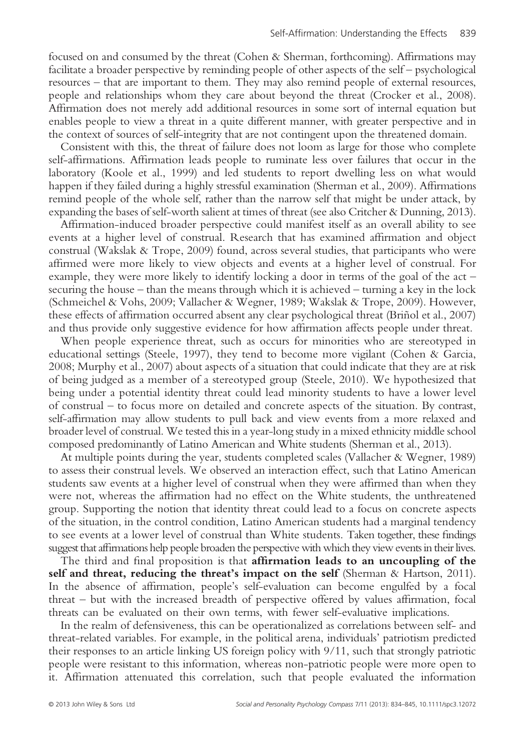focused on and consumed by the threat (Cohen & Sherman, forthcoming). Affirmations may facilitate a broader perspective by reminding people of other aspects of the self – psychological resources – that are important to them. They may also remind people of external resources, people and relationships whom they care about beyond the threat (Crocker et al., 2008). Affirmation does not merely add additional resources in some sort of internal equation but enables people to view a threat in a quite different manner, with greater perspective and in the context of sources of self-integrity that are not contingent upon the threatened domain.

Consistent with this, the threat of failure does not loom as large for those who complete self-affirmations. Affirmation leads people to ruminate less over failures that occur in the laboratory (Koole et al., 1999) and led students to report dwelling less on what would happen if they failed during a highly stressful examination (Sherman et al., 2009). Affirmations remind people of the whole self, rather than the narrow self that might be under attack, by expanding the bases of self-worth salient at times of threat (see also Critcher & Dunning, 2013).

Affirmation-induced broader perspective could manifest itself as an overall ability to see events at a higher level of construal. Research that has examined affirmation and object construal (Wakslak & Trope, 2009) found, across several studies, that participants who were affirmed were more likely to view objects and events at a higher level of construal. For example, they were more likely to identify locking a door in terms of the goal of the act – securing the house – than the means through which it is achieved – turning a key in the lock (Schmeichel & Vohs, 2009; Vallacher & Wegner, 1989; Wakslak & Trope, 2009). However, these effects of affirmation occurred absent any clear psychological threat (Briñol et al., 2007) and thus provide only suggestive evidence for how affirmation affects people under threat.

When people experience threat, such as occurs for minorities who are stereotyped in educational settings (Steele, 1997), they tend to become more vigilant (Cohen & Garcia, 2008; Murphy et al., 2007) about aspects of a situation that could indicate that they are at risk of being judged as a member of a stereotyped group (Steele, 2010). We hypothesized that being under a potential identity threat could lead minority students to have a lower level of construal – to focus more on detailed and concrete aspects of the situation. By contrast, self-affirmation may allow students to pull back and view events from a more relaxed and broader level of construal. We tested this in a year-long study in a mixed ethnicity middle school composed predominantly of Latino American and White students (Sherman et al., 2013).

At multiple points during the year, students completed scales (Vallacher & Wegner, 1989) to assess their construal levels. We observed an interaction effect, such that Latino American students saw events at a higher level of construal when they were affirmed than when they were not, whereas the affirmation had no effect on the White students, the unthreatened group. Supporting the notion that identity threat could lead to a focus on concrete aspects of the situation, in the control condition, Latino American students had a marginal tendency to see events at a lower level of construal than White students. Taken together, these findings suggest that affirmations help people broaden the perspective with which they view events in their lives.

The third and final proposition is that **affirmation leads to an uncoupling of the** self and threat, reducing the threat's impact on the self (Sherman & Hartson, 2011). In the absence of affirmation, people's self-evaluation can become engulfed by a focal threat – but with the increased breadth of perspective offered by values affirmation, focal threats can be evaluated on their own terms, with fewer self-evaluative implications.

In the realm of defensiveness, this can be operationalized as correlations between self- and threat-related variables. For example, in the political arena, individuals' patriotism predicted their responses to an article linking US foreign policy with 9/11, such that strongly patriotic people were resistant to this information, whereas non-patriotic people were more open to it. Affirmation attenuated this correlation, such that people evaluated the information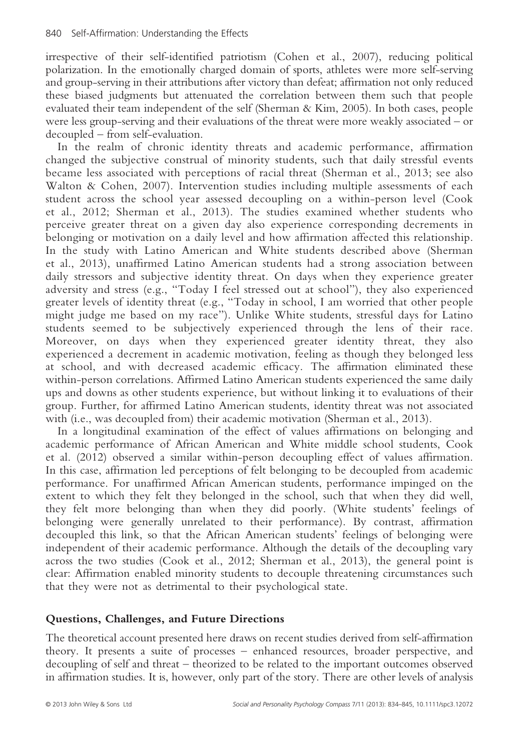irrespective of their self-identified patriotism (Cohen et al., 2007), reducing political polarization. In the emotionally charged domain of sports, athletes were more self-serving and group-serving in their attributions after victory than defeat; affirmation not only reduced these biased judgments but attenuated the correlation between them such that people evaluated their team independent of the self (Sherman & Kim, 2005). In both cases, people were less group-serving and their evaluations of the threat were more weakly associated – or decoupled – from self-evaluation.

In the realm of chronic identity threats and academic performance, affirmation changed the subjective construal of minority students, such that daily stressful events became less associated with perceptions of racial threat (Sherman et al., 2013; see also Walton & Cohen, 2007). Intervention studies including multiple assessments of each student across the school year assessed decoupling on a within-person level (Cook et al., 2012; Sherman et al., 2013). The studies examined whether students who perceive greater threat on a given day also experience corresponding decrements in belonging or motivation on a daily level and how affirmation affected this relationship. In the study with Latino American and White students described above (Sherman et al., 2013), unaffirmed Latino American students had a strong association between daily stressors and subjective identity threat. On days when they experience greater adversity and stress (e.g., "Today I feel stressed out at school"), they also experienced greater levels of identity threat (e.g., "Today in school, I am worried that other people might judge me based on my race"). Unlike White students, stressful days for Latino students seemed to be subjectively experienced through the lens of their race. Moreover, on days when they experienced greater identity threat, they also experienced a decrement in academic motivation, feeling as though they belonged less at school, and with decreased academic efficacy. The affirmation eliminated these within-person correlations. Affirmed Latino American students experienced the same daily ups and downs as other students experience, but without linking it to evaluations of their group. Further, for affirmed Latino American students, identity threat was not associated with (i.e., was decoupled from) their academic motivation (Sherman et al., 2013).

In a longitudinal examination of the effect of values affirmations on belonging and academic performance of African American and White middle school students, Cook et al. (2012) observed a similar within-person decoupling effect of values affirmation. In this case, affirmation led perceptions of felt belonging to be decoupled from academic performance. For unaffirmed African American students, performance impinged on the extent to which they felt they belonged in the school, such that when they did well, they felt more belonging than when they did poorly. (White students' feelings of belonging were generally unrelated to their performance). By contrast, affirmation decoupled this link, so that the African American students' feelings of belonging were independent of their academic performance. Although the details of the decoupling vary across the two studies (Cook et al., 2012; Sherman et al., 2013), the general point is clear: Affirmation enabled minority students to decouple threatening circumstances such that they were not as detrimental to their psychological state.

# Questions, Challenges, and Future Directions

The theoretical account presented here draws on recent studies derived from self-affirmation theory. It presents a suite of processes – enhanced resources, broader perspective, and decoupling of self and threat – theorized to be related to the important outcomes observed in affirmation studies. It is, however, only part of the story. There are other levels of analysis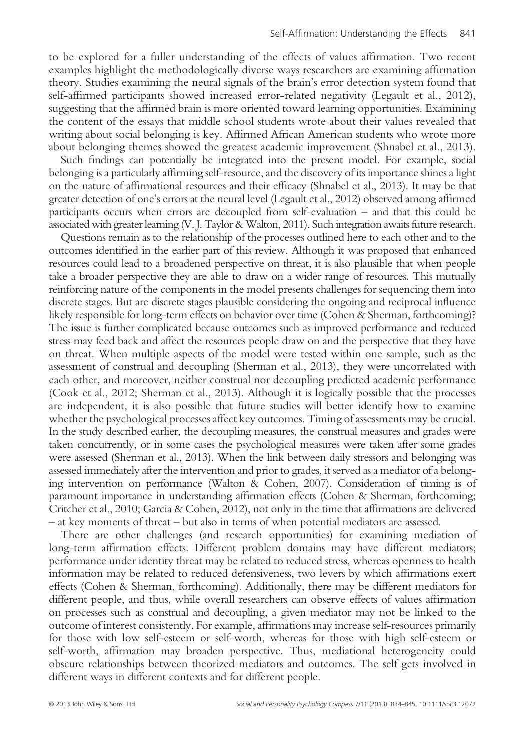to be explored for a fuller understanding of the effects of values affirmation. Two recent examples highlight the methodologically diverse ways researchers are examining affirmation theory. Studies examining the neural signals of the brain's error detection system found that self-affirmed participants showed increased error-related negativity (Legault et al., 2012), suggesting that the affirmed brain is more oriented toward learning opportunities. Examining the content of the essays that middle school students wrote about their values revealed that writing about social belonging is key. Affirmed African American students who wrote more about belonging themes showed the greatest academic improvement (Shnabel et al., 2013).

Such findings can potentially be integrated into the present model. For example, social belonging is a particularly affirming self-resource, and the discovery of its importance shines a light on the nature of affirmational resources and their efficacy (Shnabel et al., 2013). It may be that greater detection of one's errors at the neural level (Legault et al., 2012) observed among affirmed participants occurs when errors are decoupled from self-evaluation – and that this could be associated with greater learning (V. J. Taylor & Walton, 2011). Such integration awaits future research.

Questions remain as to the relationship of the processes outlined here to each other and to the outcomes identified in the earlier part of this review. Although it was proposed that enhanced resources could lead to a broadened perspective on threat, it is also plausible that when people take a broader perspective they are able to draw on a wider range of resources. This mutually reinforcing nature of the components in the model presents challenges for sequencing them into discrete stages. But are discrete stages plausible considering the ongoing and reciprocal influence likely responsible for long-term effects on behavior over time (Cohen & Sherman, forthcoming)? The issue is further complicated because outcomes such as improved performance and reduced stress may feed back and affect the resources people draw on and the perspective that they have on threat. When multiple aspects of the model were tested within one sample, such as the assessment of construal and decoupling (Sherman et al., 2013), they were uncorrelated with each other, and moreover, neither construal nor decoupling predicted academic performance (Cook et al., 2012; Sherman et al., 2013). Although it is logically possible that the processes are independent, it is also possible that future studies will better identify how to examine whether the psychological processes affect key outcomes. Timing of assessments may be crucial. In the study described earlier, the decoupling measures, the construal measures and grades were taken concurrently, or in some cases the psychological measures were taken after some grades were assessed (Sherman et al., 2013). When the link between daily stressors and belonging was assessed immediately after the intervention and prior to grades, it served as a mediator of a belonging intervention on performance (Walton & Cohen, 2007). Consideration of timing is of paramount importance in understanding affirmation effects (Cohen & Sherman, forthcoming; Critcher et al., 2010; Garcia & Cohen, 2012), not only in the time that affirmations are delivered – at key moments of threat – but also in terms of when potential mediators are assessed.

There are other challenges (and research opportunities) for examining mediation of long-term affirmation effects. Different problem domains may have different mediators; performance under identity threat may be related to reduced stress, whereas openness to health information may be related to reduced defensiveness, two levers by which affirmations exert effects (Cohen & Sherman, forthcoming). Additionally, there may be different mediators for different people, and thus, while overall researchers can observe effects of values affirmation on processes such as construal and decoupling, a given mediator may not be linked to the outcome of interest consistently. For example, affirmations may increase self-resources primarily for those with low self-esteem or self-worth, whereas for those with high self-esteem or self-worth, affirmation may broaden perspective. Thus, mediational heterogeneity could obscure relationships between theorized mediators and outcomes. The self gets involved in different ways in different contexts and for different people.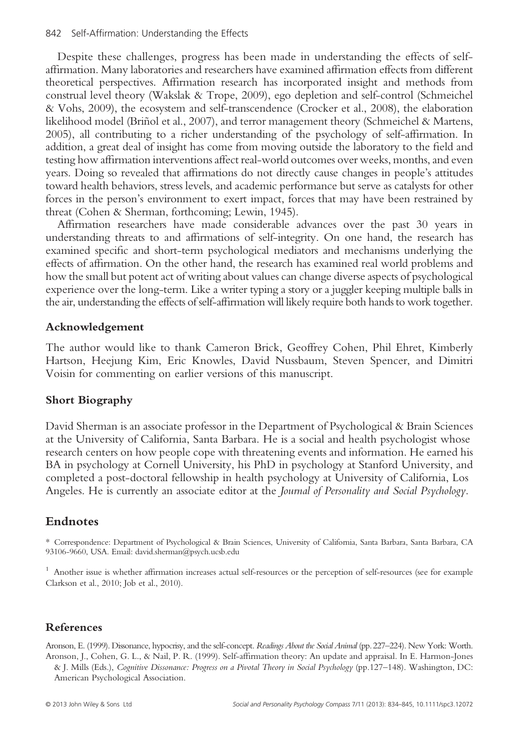Despite these challenges, progress has been made in understanding the effects of selfaffirmation. Many laboratories and researchers have examined affirmation effects from different theoretical perspectives. Affirmation research has incorporated insight and methods from construal level theory (Wakslak & Trope, 2009), ego depletion and self-control (Schmeichel & Vohs, 2009), the ecosystem and self-transcendence (Crocker et al., 2008), the elaboration likelihood model (Briñol et al., 2007), and terror management theory (Schmeichel & Martens, 2005), all contributing to a richer understanding of the psychology of self-affirmation. In addition, a great deal of insight has come from moving outside the laboratory to the field and testing how affirmation interventions affect real-world outcomes over weeks, months, and even years. Doing so revealed that affirmations do not directly cause changes in people's attitudes toward health behaviors, stress levels, and academic performance but serve as catalysts for other forces in the person's environment to exert impact, forces that may have been restrained by threat (Cohen & Sherman, forthcoming; Lewin, 1945).

Affirmation researchers have made considerable advances over the past 30 years in understanding threats to and affirmations of self-integrity. On one hand, the research has examined specific and short-term psychological mediators and mechanisms underlying the effects of affirmation. On the other hand, the research has examined real world problems and how the small but potent act of writing about values can change diverse aspects of psychological experience over the long-term. Like a writer typing a story or a juggler keeping multiple balls in the air, understanding the effects of self-affirmation will likely require both hands to work together.

## Acknowledgement

The author would like to thank Cameron Brick, Geoffrey Cohen, Phil Ehret, Kimberly Hartson, Heejung Kim, Eric Knowles, David Nussbaum, Steven Spencer, and Dimitri Voisin for commenting on earlier versions of this manuscript.

## Short Biography

David Sherman is an associate professor in the Department of Psychological & Brain Sciences at the University of California, Santa Barbara. He is a social and health psychologist whose research centers on how people cope with threatening events and information. He earned his BA in psychology at Cornell University, his PhD in psychology at Stanford University, and completed a post-doctoral fellowship in health psychology at University of California, Los Angeles. He is currently an associate editor at the Journal of Personality and Social Psychology.

# Endnotes

\* Correspondence: Department of Psychological & Brain Sciences, University of California, Santa Barbara, Santa Barbara, CA 93106-9660, USA. Email: david.sherman@psych.ucsb.edu

<sup>1</sup> Another issue is whether affirmation increases actual self-resources or the perception of self-resources (see for example Clarkson et al., 2010; Job et al., 2010).

#### References

Aronson, E. (1999). Dissonance, hypocrisy, and the self-concept. Readings About the Social Animal (pp.227–224). New York: Worth. Aronson, J., Cohen, G. L., & Nail, P. R. (1999). Self-affirmation theory: An update and appraisal. In E. Harmon-Jones

& J. Mills (Eds.), Cognitive Dissonance: Progress on a Pivotal Theory in Social Psychology (pp.127–148). Washington, DC: American Psychological Association.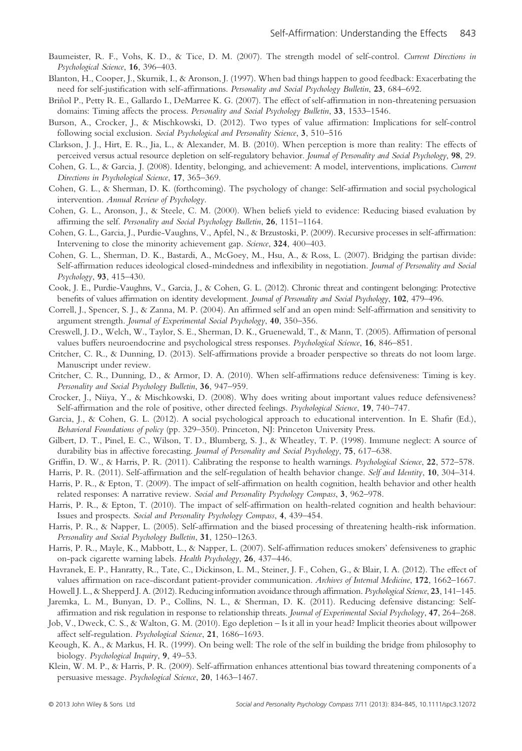- Baumeister, R. F., Vohs, K. D., & Tice, D. M. (2007). The strength model of self-control. Current Directions in Psychological Science, 16, 396–403.
- Blanton, H., Cooper, J., Skurnik, I., & Aronson, J. (1997). When bad things happen to good feedback: Exacerbating the need for self-justification with self-affirmations. Personality and Social Psychology Bulletin, 23, 684–692.
- Briñol P., Petty R. E., Gallardo I., DeMarree K. G. (2007). The effect of self-affirmation in non-threatening persuasion domains: Timing affects the process. *Personality and Social Psychology Bulletin*, 33, 1533–1546.
- Burson, A., Crocker, J., & Mischkowski, D. (2012). Two types of value affirmation: Implications for self-control following social exclusion. Social Psychological and Personality Science, 3, 510–516
- Clarkson, J. J., Hirt, E. R., Jia, L., & Alexander, M. B. (2010). When perception is more than reality: The effects of perceived versus actual resource depletion on self-regulatory behavior. Journal of Personality and Social Psychology, 98, 29.
- Cohen, G. L., & Garcia, J. (2008). Identity, belonging, and achievement: A model, interventions, implications. Current Directions in Psychological Science, 17, 365–369.
- Cohen, G. L., & Sherman, D. K. (forthcoming). The psychology of change: Self-affirmation and social psychological intervention. Annual Review of Psychology.
- Cohen, G. L., Aronson, J., & Steele, C. M. (2000). When beliefs yield to evidence: Reducing biased evaluation by affirming the self. Personality and Social Psychology Bulletin, 26, 1151–1164.
- Cohen, G. L., Garcia, J., Purdie-Vaughns, V., Apfel, N., & Brzustoski, P. (2009). Recursive processes in self-affirmation: Intervening to close the minority achievement gap. Science, 324, 400–403.
- Cohen, G. L., Sherman, D. K., Bastardi, A., McGoey, M., Hsu, A., & Ross, L. (2007). Bridging the partisan divide: Self-affirmation reduces ideological closed-mindedness and inflexibility in negotiation. Journal of Personality and Social Psychology, 93, 415–430.
- Cook, J. E., Purdie-Vaughns, V., Garcia, J., & Cohen, G. L. (2012). Chronic threat and contingent belonging: Protective benefits of values affirmation on identity development. Journal of Personality and Social Psychology, 102, 479–496.
- Correll, J., Spencer, S. J., & Zanna, M. P. (2004). An affirmed self and an open mind: Self-affirmation and sensitivity to argument strength. Journal of Experimental Social Psychology, 40, 350–356.
- Creswell, J. D., Welch, W., Taylor, S. E., Sherman, D. K., Gruenewald, T., & Mann, T. (2005). Affirmation of personal values buffers neuroendocrine and psychological stress responses. Psychological Science, 16, 846–851.
- Critcher, C. R., & Dunning, D. (2013). Self-affirmations provide a broader perspective so threats do not loom large. Manuscript under review.
- Critcher, C. R., Dunning, D., & Armor, D. A. (2010). When self-affirmations reduce defensiveness: Timing is key. Personality and Social Psychology Bulletin, 36, 947–959.
- Crocker, J., Niiya, Y., & Mischkowski, D. (2008). Why does writing about important values reduce defensiveness? Self-affirmation and the role of positive, other directed feelings. *Psychological Science*, **19**, 740–747.
- Garcia, J., & Cohen, G. L. (2012). A social psychological approach to educational intervention. In E. Shafir (Ed.), Behavioral Foundations of policy (pp. 329–350). Princeton, NJ: Princeton University Press.
- Gilbert, D. T., Pinel, E. C., Wilson, T. D., Blumberg, S. J., & Wheatley, T. P. (1998). Immune neglect: A source of durability bias in affective forecasting. Journal of Personality and Social Psychology, 75, 617-638.
- Griffin, D. W., & Harris, P. R. (2011). Calibrating the response to health warnings. *Psychological Science*, 22, 572–578.
- Harris, P. R. (2011). Self-affirmation and the self-regulation of health behavior change. Self and Identity, 10, 304–314.
- Harris, P. R., & Epton, T. (2009). The impact of self-affirmation on health cognition, health behavior and other health related responses: A narrative review. Social and Personality Psychology Compass, 3, 962–978.
- Harris, P. R., & Epton, T. (2010). The impact of self-affirmation on health-related cognition and health behaviour: Issues and prospects. Social and Personality Psychology Compass, 4, 439–454.
- Harris, P. R., & Napper, L. (2005). Self-affirmation and the biased processing of threatening health-risk information. Personality and Social Psychology Bulletin, 31, 1250-1263.
- Harris, P. R., Mayle, K., Mabbott, L., & Napper, L. (2007). Self-affirmation reduces smokers' defensiveness to graphic on-pack cigarette warning labels. Health Psychology, 26, 437–446.
- Havranek, E. P., Hanratty, R., Tate, C., Dickinson, L. M., Steiner, J. F., Cohen, G., & Blair, I. A. (2012). The effect of values affirmation on race-discordant patient-provider communication. Archives of Internal Medicine, 172, 1662–1667.
- Howell J. L., & Shepperd J. A. (2012). Reducing information avoidance through affirmation. Psychological Science, 23, 141-145.
- Jaremka, L. M., Bunyan, D. P., Collins, N. L., & Sherman, D. K. (2011). Reducing defensive distancing: Selfaffirmation and risk regulation in response to relationship threats. Journal of Experimental Social Psychology, 47, 264–268.
- Job, V., Dweck, C. S., & Walton, G. M. (2010). Ego depletion Is it all in your head? Implicit theories about willpower affect self-regulation. Psychological Science, 21, 1686–1693.
- Keough, K. A., & Markus, H. R. (1999). On being well: The role of the self in building the bridge from philosophy to biology. Psychological Inquiry, 9, 49–53.
- Klein, W. M. P., & Harris, P. R. (2009). Self-affirmation enhances attentional bias toward threatening components of a persuasive message. Psychological Science, 20, 1463–1467.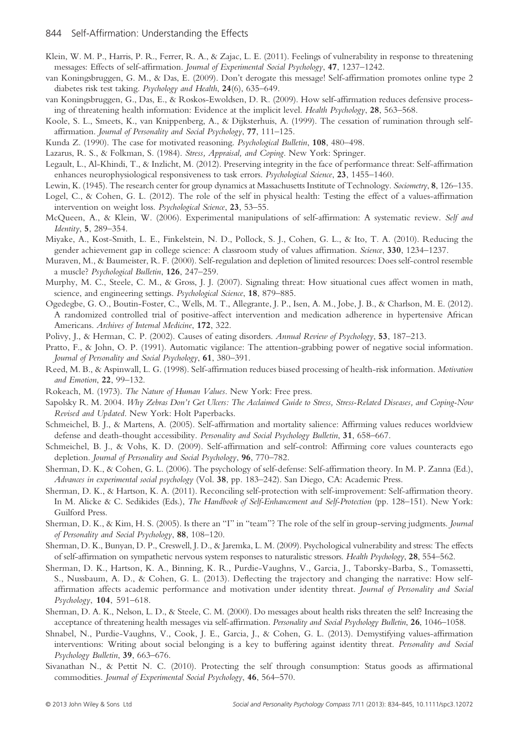- Klein, W. M. P., Harris, P. R., Ferrer, R. A., & Zajac, L. E. (2011). Feelings of vulnerability in response to threatening messages: Effects of self-affirmation. Journal of Experimental Social Psychology, 47, 1237–1242.
- van Koningsbruggen, G. M., & Das, E. (2009). Don't derogate this message! Self-affirmation promotes online type 2 diabetes risk test taking. Psychology and Health, 24(6), 635–649.
- van Koningsbruggen, G., Das, E., & Roskos-Ewoldsen, D. R. (2009). How self-affirmation reduces defensive processing of threatening health information: Evidence at the implicit level. Health Psychology, 28, 563–568.
- Koole, S. L., Smeets, K., van Knippenberg, A., & Dijksterhuis, A. (1999). The cessation of rumination through selfaffirmation. Journal of Personality and Social Psychology, 77, 111–125.
- Kunda Z. (1990). The case for motivated reasoning. Psychological Bulletin, 108, 480–498.
- Lazarus, R. S., & Folkman, S. (1984). Stress, Appraisal, and Coping. New York: Springer.
- Legault, L., Al-Khindi, T., & Inzlicht, M. (2012). Preserving integrity in the face of performance threat: Self-affirmation enhances neurophysiological responsiveness to task errors. *Psychological Science*, 23, 1455–1460.
- Lewin, K. (1945). The research center for group dynamics at Massachusetts Institute of Technology. Sociometry, 8, 126–135.
- Logel, C., & Cohen, G. L. (2012). The role of the self in physical health: Testing the effect of a values-affirmation intervention on weight loss. Psychological Science, 23, 53-55.
- McQueen, A., & Klein, W. (2006). Experimental manipulations of self-affirmation: A systematic review. Self and Identity, 5, 289–354.
- Miyake, A., Kost-Smith, L. E., Finkelstein, N. D., Pollock, S. J., Cohen, G. L., & Ito, T. A. (2010). Reducing the gender achievement gap in college science: A classroom study of values affirmation. Science, 330, 1234–1237.
- Muraven, M., & Baumeister, R. F. (2000). Self-regulation and depletion of limited resources: Does self-control resemble a muscle? Psychological Bulletin, 126, 247–259.
- Murphy, M. C., Steele, C. M., & Gross, J. J. (2007). Signaling threat: How situational cues affect women in math, science, and engineering settings. Psychological Science, 18, 879–885.
- Ogedegbe, G. O., Boutin-Foster, C., Wells, M. T., Allegrante, J. P., Isen, A. M., Jobe, J. B., & Charlson, M. E. (2012). A randomized controlled trial of positive-affect intervention and medication adherence in hypertensive African Americans. Archives of Internal Medicine, 172, 322.
- Polivy, J., & Herman, C. P. (2002). Causes of eating disorders. Annual Review of Psychology, 53, 187–213.
- Pratto, F., & John, O. P. (1991). Automatic vigilance: The attention-grabbing power of negative social information. Journal of Personality and Social Psychology, 61, 380-391.
- Reed, M. B., & Aspinwall, L. G. (1998). Self-affirmation reduces biased processing of health-risk information. Motivation and Emotion, 22, 99–132.
- Rokeach, M. (1973). The Nature of Human Values. New York: Free press.
- Sapolsky R. M. 2004. Why Zebras Don't Get Ulcers: The Acclaimed Guide to Stress, Stress-Related Diseases, and Coping-Now Revised and Updated. New York: Holt Paperbacks.
- Schmeichel, B. J., & Martens, A. (2005). Self-affirmation and mortality salience: Affirming values reduces worldview defense and death-thought accessibility. Personality and Social Psychology Bulletin, 31, 658–667.
- Schmeichel, B. J., & Vohs, K. D. (2009). Self-affirmation and self-control: Affirming core values counteracts ego depletion. Journal of Personality and Social Psychology, 96, 770–782.
- Sherman, D. K., & Cohen, G. L. (2006). The psychology of self-defense: Self-affirmation theory. In M. P. Zanna (Ed.), Advances in experimental social psychology (Vol. 38, pp. 183–242). San Diego, CA: Academic Press.
- Sherman, D. K., & Hartson, K. A. (2011). Reconciling self-protection with self-improvement: Self-affirmation theory. In M. Alicke & C. Sedikides (Eds.), The Handbook of Self-Enhancement and Self-Protection (pp. 128–151). New York: Guilford Press.
- Sherman, D. K., & Kim, H. S. (2005). Is there an "I" in "team"? The role of the self in group-serving judgments. Journal of Personality and Social Psychology, 88, 108–120.
- Sherman, D. K., Bunyan, D. P., Creswell, J. D., & Jaremka, L. M. (2009). Psychological vulnerability and stress: The effects of self-affirmation on sympathetic nervous system responses to naturalistic stressors. Health Psychology, 28, 554–562.
- Sherman, D. K., Hartson, K. A., Binning, K. R., Purdie-Vaughns, V., Garcia, J., Taborsky-Barba, S., Tomassetti, S., Nussbaum, A. D., & Cohen, G. L. (2013). Deflecting the trajectory and changing the narrative: How selfaffirmation affects academic performance and motivation under identity threat. Journal of Personality and Social Psychology, 104, 591–618.
- Sherman, D. A. K., Nelson, L. D., & Steele, C. M. (2000). Do messages about health risks threaten the self? Increasing the acceptance of threatening health messages via self-affirmation. Personality and Social Psychology Bulletin, 26, 1046–1058.
- Shnabel, N., Purdie-Vaughns, V., Cook, J. E., Garcia, J., & Cohen, G. L. (2013). Demystifying values-affirmation interventions: Writing about social belonging is a key to buffering against identity threat. Personality and Social Psychology Bulletin, 39, 663–676.
- Sivanathan N., & Pettit N. C. (2010). Protecting the self through consumption: Status goods as affirmational commodities. Journal of Experimental Social Psychology, 46, 564–570.